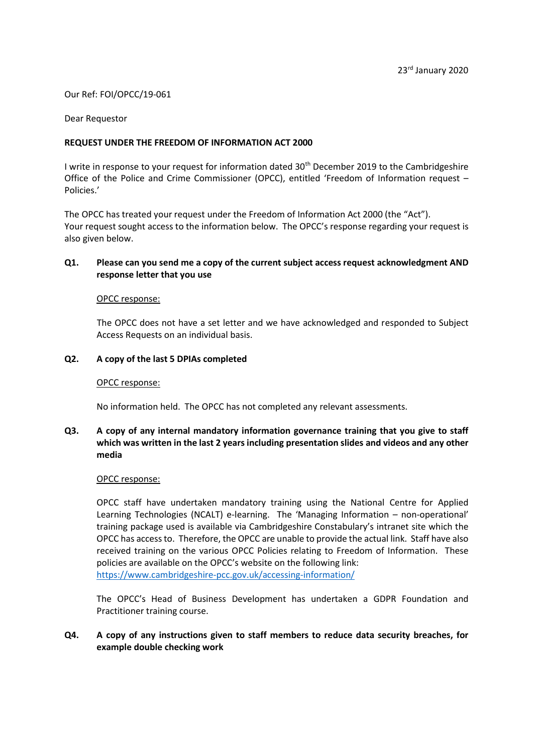#### Our Ref: FOI/OPCC/19-061

#### Dear Requestor

### **REQUEST UNDER THE FREEDOM OF INFORMATION ACT 2000**

I write in response to your request for information dated 30<sup>th</sup> December 2019 to the Cambridgeshire Office of the Police and Crime Commissioner (OPCC), entitled 'Freedom of Information request – Policies.'

The OPCC has treated your request under the Freedom of Information Act 2000 (the "Act"). Your request sought access to the information below. The OPCC's response regarding your request is also given below.

## **Q1. Please can you send me a copy of the current subject access request acknowledgment AND response letter that you use**

#### OPCC response:

The OPCC does not have a set letter and we have acknowledged and responded to Subject Access Requests on an individual basis.

### **Q2. A copy of the last 5 DPIAs completed**

#### OPCC response:

No information held. The OPCC has not completed any relevant assessments.

# **Q3. A copy of any internal mandatory information governance training that you give to staff which was written in the last 2 years including presentation slides and videos and any other media**

#### OPCC response:

OPCC staff have undertaken mandatory training using the National Centre for Applied Learning Technologies (NCALT) e-learning. The 'Managing Information – non-operational' training package used is available via Cambridgeshire Constabulary's intranet site which the OPCC has access to. Therefore, the OPCC are unable to provide the actual link. Staff have also received training on the various OPCC Policies relating to Freedom of Information. These policies are available on the OPCC's website on the following link: <https://www.cambridgeshire-pcc.gov.uk/accessing-information/>

The OPCC's Head of Business Development has undertaken a GDPR Foundation and Practitioner training course.

# **Q4. A copy of any instructions given to staff members to reduce data security breaches, for example double checking work**